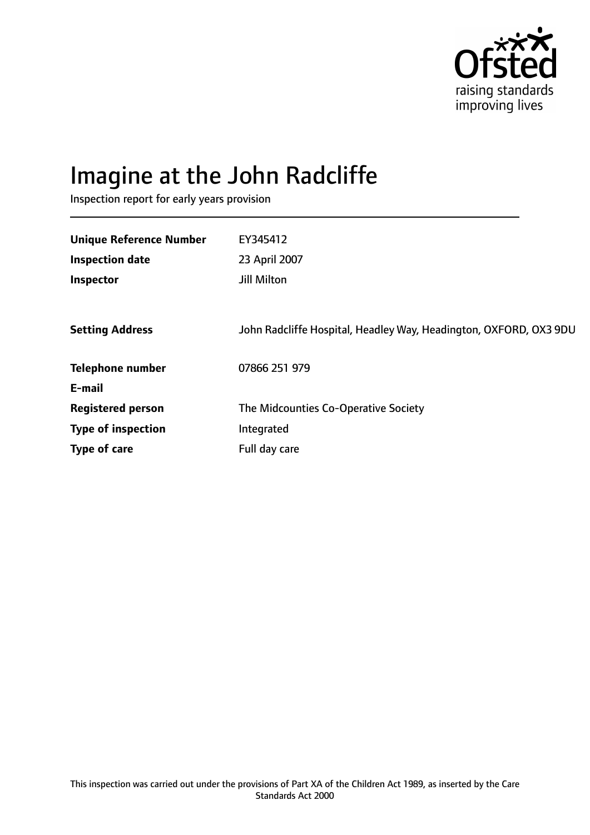

# Imagine at the John Radcliffe

Inspection report for early years provision

| EY345412<br>23 April 2007<br>Jill Milton                          |
|-------------------------------------------------------------------|
| John Radcliffe Hospital, Headley Way, Headington, OXFORD, OX3 9DU |
| 07866 251 979                                                     |
|                                                                   |
| The Midcounties Co-Operative Society                              |
| Integrated                                                        |
| Full day care                                                     |
|                                                                   |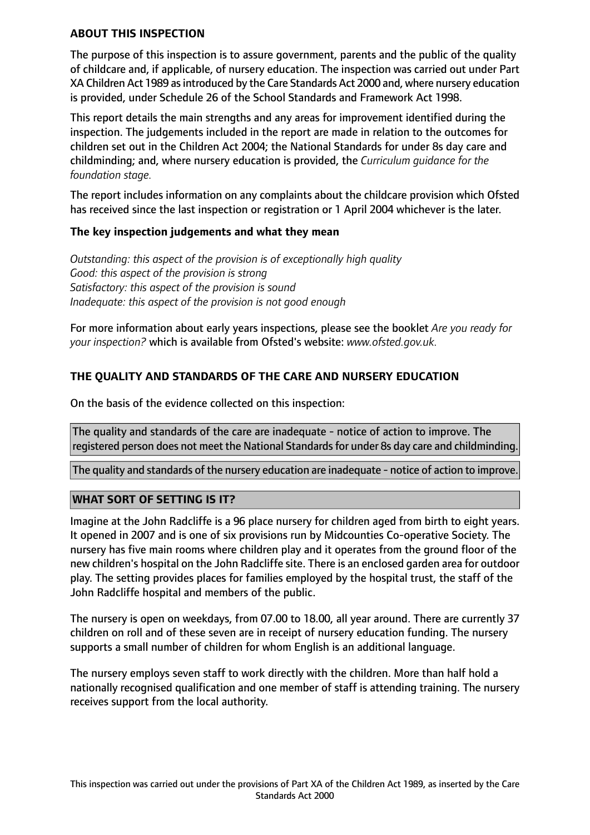#### **ABOUT THIS INSPECTION**

The purpose of this inspection is to assure government, parents and the public of the quality of childcare and, if applicable, of nursery education. The inspection was carried out under Part XA Children Act 1989 asintroduced by the Care Standards Act 2000 and, where nursery education is provided, under Schedule 26 of the School Standards and Framework Act 1998.

This report details the main strengths and any areas for improvement identified during the inspection. The judgements included in the report are made in relation to the outcomes for children set out in the Children Act 2004; the National Standards for under 8s day care and childminding; and, where nursery education is provided, the *Curriculum guidance for the foundation stage.*

The report includes information on any complaints about the childcare provision which Ofsted has received since the last inspection or registration or 1 April 2004 whichever is the later.

### **The key inspection judgements and what they mean**

*Outstanding: this aspect of the provision is of exceptionally high quality Good: this aspect of the provision is strong Satisfactory: this aspect of the provision is sound Inadequate: this aspect of the provision is not good enough*

For more information about early years inspections, please see the booklet *Are you ready for your inspection?* which is available from Ofsted's website: *www.ofsted.gov.uk.*

## **THE QUALITY AND STANDARDS OF THE CARE AND NURSERY EDUCATION**

On the basis of the evidence collected on this inspection:

The quality and standards of the care are inadequate - notice of action to improve. The registered person does not meet the National Standards for under 8s day care and childminding.

The quality and standards of the nursery education are inadequate - notice of action to improve.

### **WHAT SORT OF SETTING IS IT?**

Imagine at the John Radcliffe is a 96 place nursery for children aged from birth to eight years. It opened in 2007 and is one of six provisions run by Midcounties Co-operative Society. The nursery has five main rooms where children play and it operates from the ground floor of the new children's hospital on the John Radcliffe site. There is an enclosed garden area for outdoor play. The setting provides places for families employed by the hospital trust, the staff of the John Radcliffe hospital and members of the public.

The nursery is open on weekdays, from 07.00 to 18.00, all year around. There are currently 37 children on roll and of these seven are in receipt of nursery education funding. The nursery supports a small number of children for whom English is an additional language.

The nursery employs seven staff to work directly with the children. More than half hold a nationally recognised qualification and one member of staff is attending training. The nursery receives support from the local authority.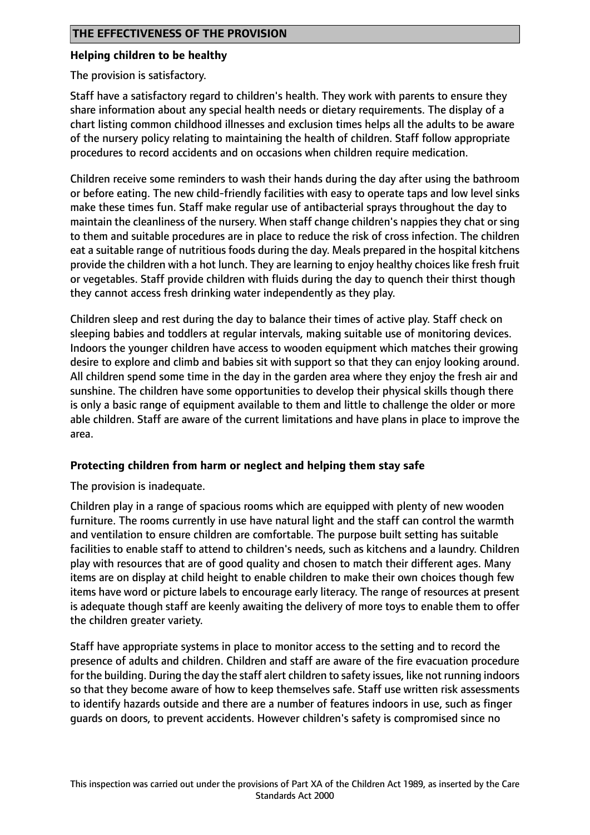#### **Helping children to be healthy**

The provision is satisfactory.

Staff have a satisfactory regard to children's health. They work with parents to ensure they share information about any special health needs or dietary requirements. The display of a chart listing common childhood illnesses and exclusion times helps all the adults to be aware of the nursery policy relating to maintaining the health of children. Staff follow appropriate procedures to record accidents and on occasions when children require medication.

Children receive some reminders to wash their hands during the day after using the bathroom or before eating. The new child-friendly facilities with easy to operate taps and low level sinks make these times fun. Staff make regular use of antibacterial sprays throughout the day to maintain the cleanliness of the nursery. When staff change children's nappies they chat or sing to them and suitable procedures are in place to reduce the risk of cross infection. The children eat a suitable range of nutritious foods during the day. Meals prepared in the hospital kitchens provide the children with a hot lunch. They are learning to enjoy healthy choices like fresh fruit or vegetables. Staff provide children with fluids during the day to quench their thirst though they cannot access fresh drinking water independently as they play.

Children sleep and rest during the day to balance their times of active play. Staff check on sleeping babies and toddlers at regular intervals, making suitable use of monitoring devices. Indoors the younger children have access to wooden equipment which matches their growing desire to explore and climb and babies sit with support so that they can enjoy looking around. All children spend some time in the day in the garden area where they enjoy the fresh air and sunshine. The children have some opportunities to develop their physical skills though there is only a basic range of equipment available to them and little to challenge the older or more able children. Staff are aware of the current limitations and have plans in place to improve the area.

### **Protecting children from harm or neglect and helping them stay safe**

The provision is inadequate.

Children play in a range of spacious rooms which are equipped with plenty of new wooden furniture. The rooms currently in use have natural light and the staff can control the warmth and ventilation to ensure children are comfortable. The purpose built setting has suitable facilities to enable staff to attend to children's needs, such as kitchens and a laundry. Children play with resources that are of good quality and chosen to match their different ages. Many items are on display at child height to enable children to make their own choices though few items have word or picture labels to encourage early literacy. The range of resources at present is adequate though staff are keenly awaiting the delivery of more toys to enable them to offer the children greater variety.

Staff have appropriate systems in place to monitor access to the setting and to record the presence of adults and children. Children and staff are aware of the fire evacuation procedure for the building. During the day the staff alert children to safety issues, like not running indoors so that they become aware of how to keep themselves safe. Staff use written risk assessments to identify hazards outside and there are a number of features indoors in use, such as finger guards on doors, to prevent accidents. However children's safety is compromised since no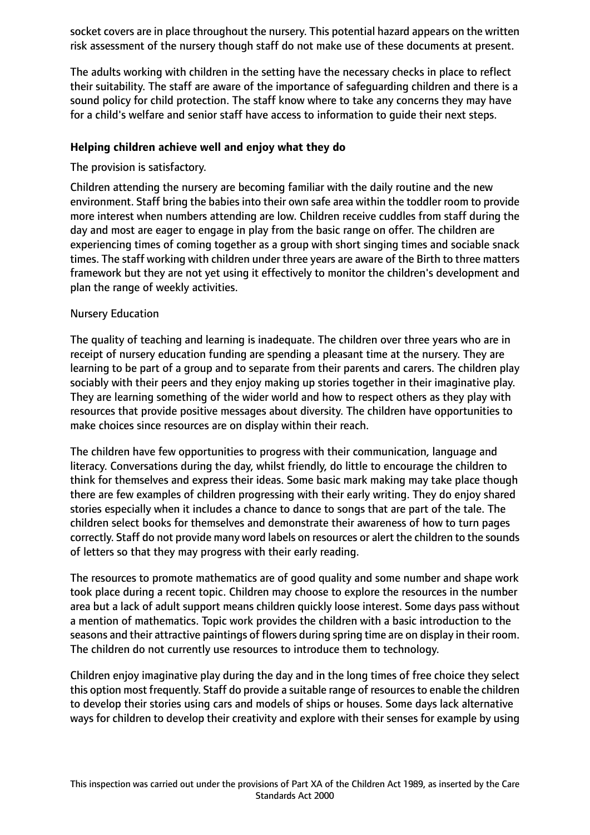socket covers are in place throughout the nursery. This potential hazard appears on the written risk assessment of the nursery though staff do not make use of these documents at present.

The adults working with children in the setting have the necessary checks in place to reflect their suitability. The staff are aware of the importance of safeguarding children and there is a sound policy for child protection. The staff know where to take any concerns they may have for a child's welfare and senior staff have access to information to guide their next steps.

### **Helping children achieve well and enjoy what they do**

The provision is satisfactory.

Children attending the nursery are becoming familiar with the daily routine and the new environment. Staff bring the babies into their own safe area within the toddler room to provide more interest when numbers attending are low. Children receive cuddles from staff during the day and most are eager to engage in play from the basic range on offer. The children are experiencing times of coming together as a group with short singing times and sociable snack times. The staff working with children under three years are aware of the Birth to three matters framework but they are not yet using it effectively to monitor the children's development and plan the range of weekly activities.

## Nursery Education

The quality of teaching and learning is inadequate. The children over three years who are in receipt of nursery education funding are spending a pleasant time at the nursery. They are learning to be part of a group and to separate from their parents and carers. The children play sociably with their peers and they enjoy making up stories together in their imaginative play. They are learning something of the wider world and how to respect others as they play with resources that provide positive messages about diversity. The children have opportunities to make choices since resources are on display within their reach.

The children have few opportunities to progress with their communication, language and literacy. Conversations during the day, whilst friendly, do little to encourage the children to think for themselves and express their ideas. Some basic mark making may take place though there are few examples of children progressing with their early writing. They do enjoy shared stories especially when it includes a chance to dance to songs that are part of the tale. The children select books for themselves and demonstrate their awareness of how to turn pages correctly. Staff do not provide many word labels on resources or alert the children to the sounds of letters so that they may progress with their early reading.

The resources to promote mathematics are of good quality and some number and shape work took place during a recent topic. Children may choose to explore the resources in the number area but a lack of adult support means children quickly loose interest. Some days pass without a mention of mathematics. Topic work provides the children with a basic introduction to the seasons and their attractive paintings of flowers during spring time are on display in their room. The children do not currently use resources to introduce them to technology.

Children enjoy imaginative play during the day and in the long times of free choice they select this option most frequently. Staff do provide a suitable range of resourcesto enable the children to develop their stories using cars and models of ships or houses. Some days lack alternative ways for children to develop their creativity and explore with their senses for example by using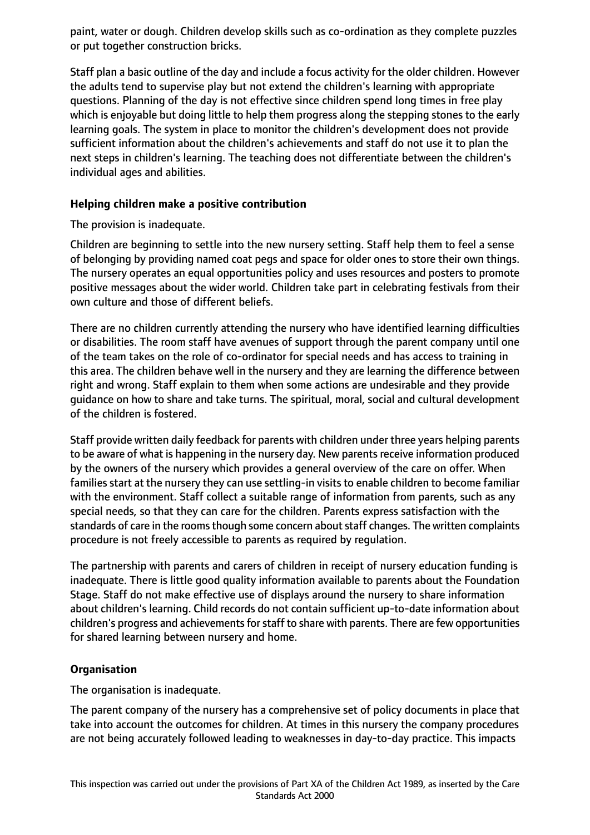paint, water or dough. Children develop skills such as co-ordination as they complete puzzles or put together construction bricks.

Staff plan a basic outline of the day and include a focus activity for the older children. However the adults tend to supervise play but not extend the children's learning with appropriate questions. Planning of the day is not effective since children spend long times in free play which is enjoyable but doing little to help them progress along the stepping stones to the early learning goals. The system in place to monitor the children's development does not provide sufficient information about the children's achievements and staff do not use it to plan the next steps in children's learning. The teaching does not differentiate between the children's individual ages and abilities.

### **Helping children make a positive contribution**

The provision is inadequate.

Children are beginning to settle into the new nursery setting. Staff help them to feel a sense of belonging by providing named coat pegs and space for older ones to store their own things. The nursery operates an equal opportunities policy and uses resources and posters to promote positive messages about the wider world. Children take part in celebrating festivals from their own culture and those of different beliefs.

There are no children currently attending the nursery who have identified learning difficulties or disabilities. The room staff have avenues of support through the parent company until one of the team takes on the role of co-ordinator for special needs and has access to training in this area. The children behave well in the nursery and they are learning the difference between right and wrong. Staff explain to them when some actions are undesirable and they provide guidance on how to share and take turns. The spiritual, moral, social and cultural development of the children is fostered.

Staff provide written daily feedback for parents with children under three years helping parents to be aware of what is happening in the nursery day. New parents receive information produced by the owners of the nursery which provides a general overview of the care on offer. When families start at the nursery they can use settling-in visits to enable children to become familiar with the environment. Staff collect a suitable range of information from parents, such as any special needs, so that they can care for the children. Parents express satisfaction with the standards of care in the rooms though some concern about staff changes. The written complaints procedure is not freely accessible to parents as required by regulation.

The partnership with parents and carers of children in receipt of nursery education funding is inadequate. There is little good quality information available to parents about the Foundation Stage. Staff do not make effective use of displays around the nursery to share information about children's learning. Child records do not contain sufficient up-to-date information about children's progress and achievements for staff to share with parents. There are few opportunities for shared learning between nursery and home.

## **Organisation**

The organisation is inadequate.

The parent company of the nursery has a comprehensive set of policy documents in place that take into account the outcomes for children. At times in this nursery the company procedures are not being accurately followed leading to weaknesses in day-to-day practice. This impacts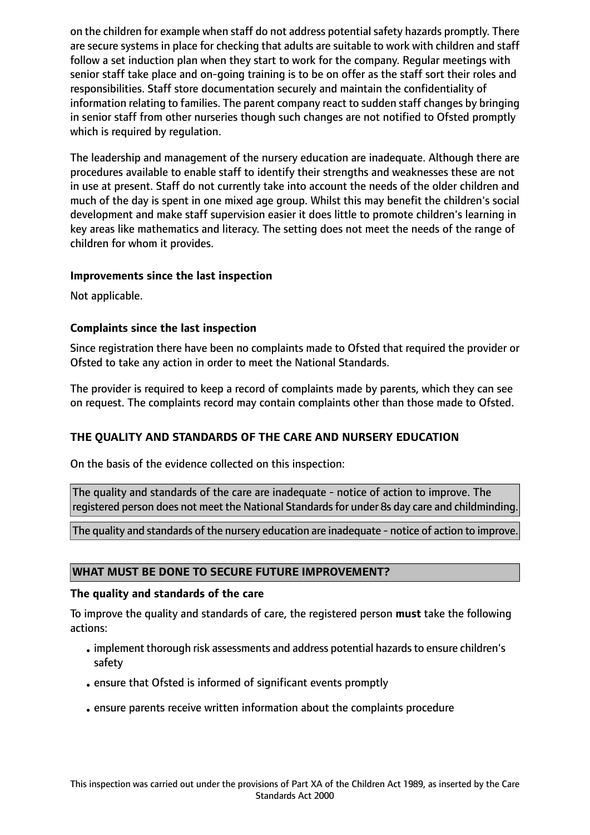on the children for example when staff do not address potential safety hazards promptly. There are secure systems in place for checking that adults are suitable to work with children and staff follow a set induction plan when they start to work for the company. Regular meetings with senior staff take place and on-going training is to be on offer as the staff sort their roles and responsibilities. Staff store documentation securely and maintain the confidentiality of information relating to families. The parent company react to sudden staff changes by bringing in senior staff from other nurseries though such changes are not notified to Ofsted promptly which is required by regulation.

The leadership and management of the nursery education are inadequate. Although there are procedures available to enable staff to identify their strengths and weaknesses these are not in use at present. Staff do not currently take into account the needs of the older children and much of the day is spent in one mixed age group. Whilst this may benefit the children's social development and make staff supervision easier it does little to promote children's learning in key areas like mathematics and literacy. The setting does not meet the needs of the range of children for whom it provides.

### **Improvements since the last inspection**

Not applicable.

#### **Complaints since the last inspection**

Since registration there have been no complaints made to Ofsted that required the provider or Ofsted to take any action in order to meet the National Standards.

The provider is required to keep a record of complaints made by parents, which they can see on request. The complaints record may contain complaints other than those made to Ofsted.

### **THE QUALITY AND STANDARDS OF THE CARE AND NURSERY EDUCATION**

On the basis of the evidence collected on this inspection:

The quality and standards of the care are inadequate - notice of action to improve. The registered person does not meet the National Standards for under 8s day care and childminding.

The quality and standards of the nursery education are inadequate - notice of action to improve.

#### **WHAT MUST BE DONE TO SECURE FUTURE IMPROVEMENT?**

#### **The quality and standards of the care**

To improve the quality and standards of care, the registered person **must** take the following actions:

- implement thorough risk assessments and address potential hazards to ensure children's safety
- •ensure that Ofsted is informed of significant events promptly
- •ensure parents receive written information about the complaints procedure